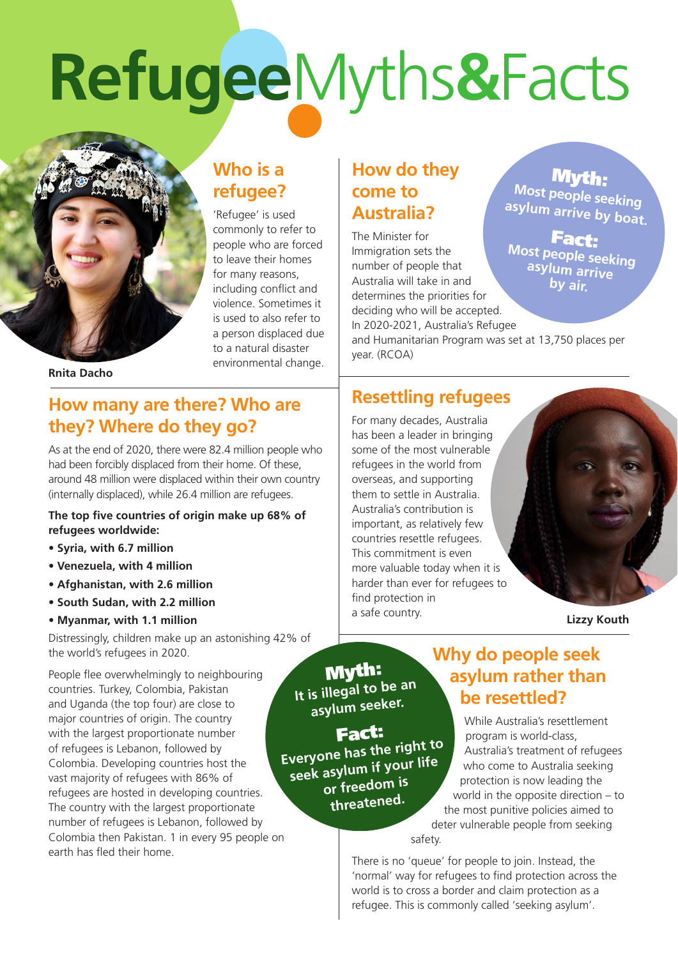# **Refugee**Myths**&**Facts



# **Who is a refugee?**

'Refugee' is used commonly to refer to people who are forced to leave their homes for many reasons, including conflict and violence. Sometimes it is used to also refer to a person displaced due to a natural disaster environmental change.

#### **Rnita Dacho**

#### **How many are there? Who are they? Where do they go?**

As at the end of 2020, there were 82.4 million people who had been forcibly displaced from their home. Of these, around 48 million were displaced within their own country (internally displaced), while 26.4 million are refugees.

#### **The top five countries of origin make up 68% of refugees worldwide:**

- **Syria, with 6.7 million**
- **Venezuela, with 4 million**
- **Afghanistan, with 2.6 million**
- **South Sudan, with 2.2 million**
- **Myanmar, with 1.1 million**

Distressingly, children make up an astonishing 42% of the world's refugees in 2020.

People flee overwhelmingly to neighbouring countries. Turkey, Colombia, Pakistan and Uganda (the top four) are close to major countries of origin. The country with the largest proportionate number of refugees is Lebanon, followed by Colombia. Developing countries host the vast majority of refugees with 86% of refugees are hosted in developing countries. The country with the largest proportionate number of refugees is Lebanon, followed by Colombia then Pakistan. 1 in every 95 people on earth has fled their home.

# **How do they come to Australia?**

The Minister for Immigration sets the number of people that Australia will take in and determines the priorities for deciding who will be accepted. In 2020-2021, Australia's Refugee

Myth: **Most people seeking asylum arrive by boat.**

Fact: **Most people seeking asylum arrive by air.** 

and Humanitarian Program was set at 13,750 places per year. (RCOA)

### **Resettling refugees**

For many decades, Australia has been a leader in bringing some of the most vulnerable refugees in the world from overseas, and supporting them to settle in Australia. Australia's contribution is important, as relatively few countries resettle refugees. This commitment is even more valuable today when it is harder than ever for refugees to find protection in a safe country.



**Lizzy Kouth**

Myth: **It is illegal to be an asylum seeker.**

Fact: **Everyone has the right to seek asylum if your life or freedom is threatened.**

## **Why do people seek asylum rather than be resettled?**

While Australia's resettlement program is world-class, Australia's treatment of refugees who come to Australia seeking protection is now leading the world in the opposite direction – to the most punitive policies aimed to deter vulnerable people from seeking

safety.

There is no 'queue' for people to join. Instead, the 'normal' way for refugees to find protection across the world is to cross a border and claim protection as a refugee. This is commonly called 'seeking asylum'.